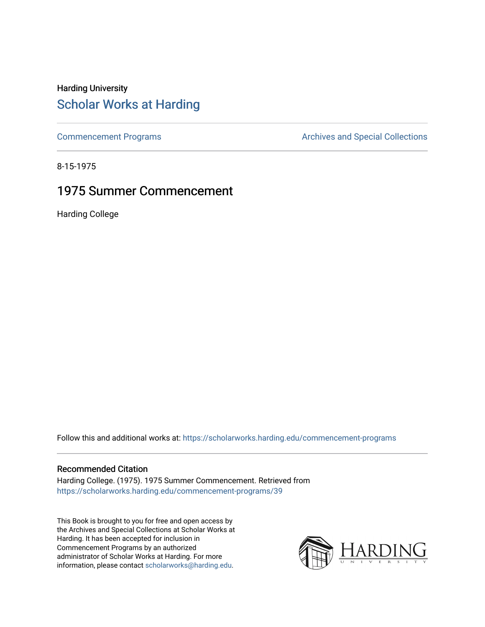# Harding University [Scholar Works at Harding](https://scholarworks.harding.edu/)

[Commencement Programs](https://scholarworks.harding.edu/commencement-programs) **Archives and Special Collections** Archives and Special Collections

8-15-1975

# 1975 Summer Commencement

Harding College

Follow this and additional works at: [https://scholarworks.harding.edu/commencement-programs](https://scholarworks.harding.edu/commencement-programs?utm_source=scholarworks.harding.edu%2Fcommencement-programs%2F39&utm_medium=PDF&utm_campaign=PDFCoverPages)

### Recommended Citation

Harding College. (1975). 1975 Summer Commencement. Retrieved from [https://scholarworks.harding.edu/commencement-programs/39](https://scholarworks.harding.edu/commencement-programs/39?utm_source=scholarworks.harding.edu%2Fcommencement-programs%2F39&utm_medium=PDF&utm_campaign=PDFCoverPages) 

This Book is brought to you for free and open access by the Archives and Special Collections at Scholar Works at Harding. It has been accepted for inclusion in Commencement Programs by an authorized administrator of Scholar Works at Harding. For more information, please contact [scholarworks@harding.edu.](mailto:scholarworks@harding.edu)